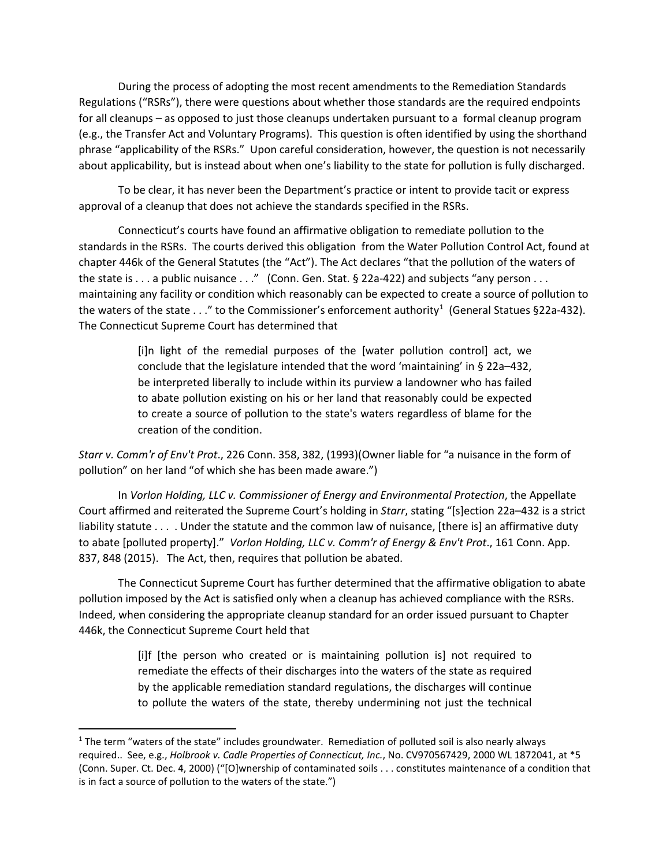During the process of adopting the most recent amendments to the Remediation Standards Regulations ("RSRs"), there were questions about whether those standards are the required endpoints for all cleanups – as opposed to just those cleanups undertaken pursuant to a formal cleanup program (e.g., the Transfer Act and Voluntary Programs). This question is often identified by using the shorthand phrase "applicability of the RSRs." Upon careful consideration, however, the question is not necessarily about applicability, but is instead about when one's liability to the state for pollution is fully discharged.

To be clear, it has never been the Department's practice or intent to provide tacit or express approval of a cleanup that does not achieve the standards specified in the RSRs.

Connecticut's courts have found an affirmative obligation to remediate pollution to the standards in the RSRs. The courts derived this obligation from the Water Pollution Control Act, found at chapter 446k of the General Statutes (the "Act"). The Act declares "that the pollution of the waters of the state is  $\dots$  a public nuisance  $\dots$ " (Conn. Gen. Stat. § 22a-422) and subjects "any person  $\dots$ maintaining any facility or condition which reasonably can be expected to create a source of pollution to the waters of the state  $\dots$ " to the Commissioner's enforcement authority<sup>[1](#page-0-0)</sup> (General Statues §22a-432). The Connecticut Supreme Court has determined that

> [i]n light of the remedial purposes of the [water pollution control] act, we conclude that the legislature intended that the word 'maintaining' in § 22a–432, be interpreted liberally to include within its purview a landowner who has failed to abate pollution existing on his or her land that reasonably could be expected to create a source of pollution to the state's waters regardless of blame for the creation of the condition.

*Starr v. Comm'r of Env't Prot*., 226 Conn. 358, 382, (1993)(Owner liable for "a nuisance in the form of pollution" on her land "of which she has been made aware.")

In *Vorlon Holding, LLC v. Commissioner of Energy and Environmental Protection*, the Appellate Court affirmed and reiterated the Supreme Court's holding in *Starr*, stating "[s]ection 22a–432 is a strict liability statute . . . . Under the statute and the common law of nuisance, [there is] an affirmative duty to abate [polluted property]." *Vorlon Holding, LLC v. Comm'r of Energy & Env't Prot*., 161 Conn. App. 837, 848 (2015). The Act, then, requires that pollution be abated.

The Connecticut Supreme Court has further determined that the affirmative obligation to abate pollution imposed by the Act is satisfied only when a cleanup has achieved compliance with the RSRs. Indeed, when considering the appropriate cleanup standard for an order issued pursuant to Chapter 446k, the Connecticut Supreme Court held that

> [i]f [the person who created or is maintaining pollution is] not required to remediate the effects of their discharges into the waters of the state as required by the applicable remediation standard regulations, the discharges will continue to pollute the waters of the state, thereby undermining not just the technical

<span id="page-0-0"></span> $1$  The term "waters of the state" includes groundwater. Remediation of polluted soil is also nearly always required.. See, e.g., *Holbrook v. Cadle Properties of Connecticut, Inc.*, No. CV970567429, 2000 WL 1872041, at \*5 (Conn. Super. Ct. Dec. 4, 2000) ("[O]wnership of contaminated soils . . . constitutes maintenance of a condition that is in fact a source of pollution to the waters of the state.")